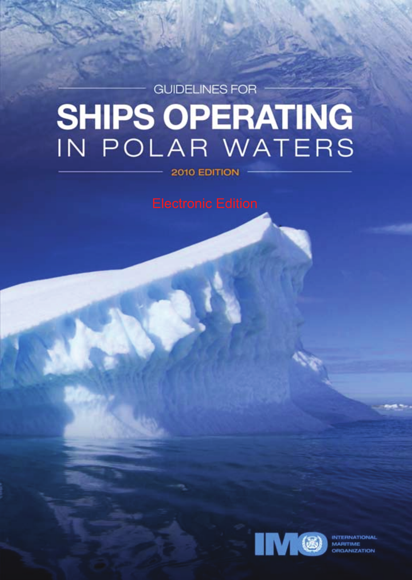## **GUIDELINES FOR SHIPS OPERATING** IN POLAR WATERS

2010 EDITION

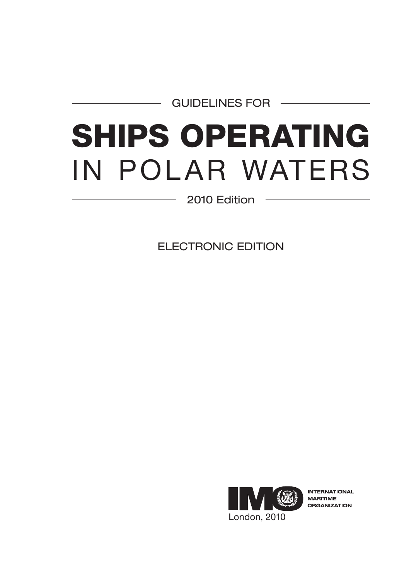- GUIDELINES FOR -

# ships operating IN POLAR WATERS

2010 Edition

ELECTRONIC EDITION



**INTERNATIONAL MARITIME ORGANIZATION**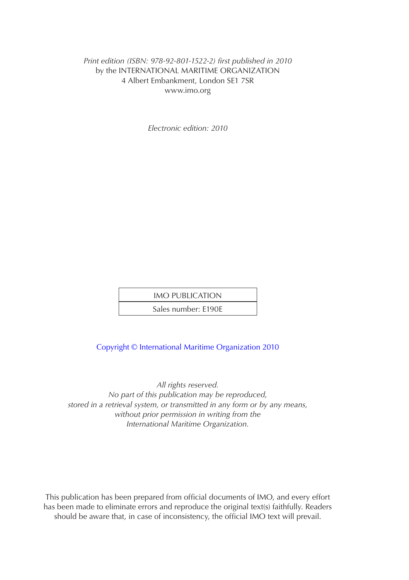#### *Print edition (ISBN: 978-92-801-1522-2) first published in 2010* by the INTERNATIONAL MARITIME ORGANIZATION 4 Albert Embankment, London SE1 7SR www.imo.org

*Electronic edition: 2010*

IMO PUBLICATION

Sales number: E190E

#### [Copyright © International Maritime Organization 2010](http://www.imo.org)

*All rights reserved. No part of this publication may be reproduced, stored in a retrieval system, or transmitted in any form or by any means, without prior permission in writing from the International Maritime Organization.*

This publication has been prepared from official documents of IMO, and every effort has been made to eliminate errors and reproduce the original text(s) faithfully. Readers should be aware that, in case of inconsistency, the official IMO text will prevail.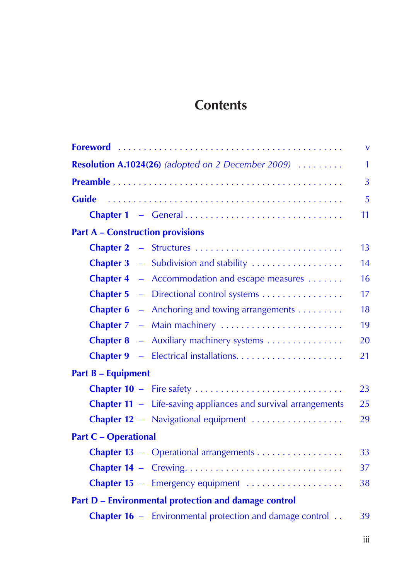## **Contents**

| $\overline{\mathsf{V}}$                                                           |
|-----------------------------------------------------------------------------------|
| <b>Resolution A.1024(26)</b> (adopted on 2 December 2009)<br>$\mathbf{1}$         |
| 3                                                                                 |
| 5                                                                                 |
| Chapter 1 - General<br>11                                                         |
|                                                                                   |
| 13<br>Chapter 2 - Structures                                                      |
| <b>Chapter 3</b> – Subdivision and stability<br>14                                |
| <b>Chapter 4</b> – Accommodation and escape measures<br>16                        |
| Chapter 5 - Directional control systems<br>17                                     |
| <b>Chapter 6</b> – Anchoring and towing arrangements $\ldots \ldots \ldots$<br>18 |
| Chapter 7 - Main machinery<br>19                                                  |
| Chapter 8 - Auxiliary machinery systems<br>20                                     |
| 21                                                                                |
|                                                                                   |
| Chapter 10 - Fire safety<br>23                                                    |
| <b>Chapter 11</b> - Life-saving appliances and survival arrangements<br>25        |
| Chapter 12 - Navigational equipment<br>29                                         |
|                                                                                   |
| <b>Chapter 13</b> - Operational arrangements<br>33                                |
| Chapter 14 - Crewing<br>37                                                        |
| Chapter 15 - Emergency equipment<br>38                                            |
| Part D - Environmental protection and damage control                              |
| <b>Chapter 16</b> – Environmental protection and damage control $\ldots$<br>39    |
|                                                                                   |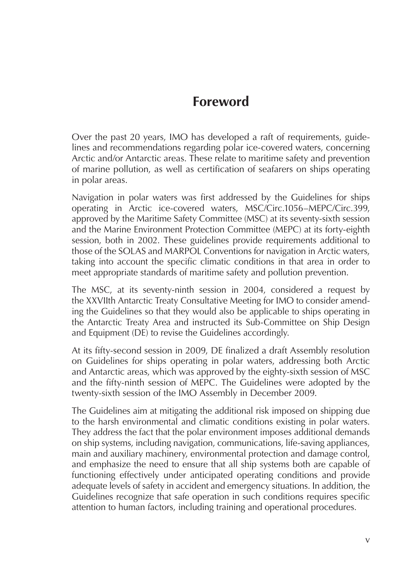## **Foreword**

<span id="page-5-0"></span>Over the past 20 years, IMO has developed a raft of requirements, guidelines and recommendations regarding polar ice-covered waters, concerning Arctic and/or Antarctic areas. These relate to maritime safety and prevention of marine pollution, as well as certification of seafarers on ships operating in polar areas.

Navigation in polar waters was first addressed by the Guidelines for ships operating in Arctic ice-covered waters, MSC/Circ.1056–MEPC/Circ.399, approved by the Maritime Safety Committee (MSC) at its seventy-sixth session and the Marine Environment Protection Committee (MEPC) at its forty-eighth session, both in 2002. These guidelines provide requirements additional to those of the SOLAS and MARPOL Conventions for navigation in Arctic waters, taking into account the specific climatic conditions in that area in order to meet appropriate standards of maritime safety and pollution prevention.

The MSC, at its seventy-ninth session in 2004, considered a request by the XXVIIth Antarctic Treaty Consultative Meeting for IMO to consider amending the Guidelines so that they would also be applicable to ships operating in the Antarctic Treaty Area and instructed its Sub-Committee on Ship Design and Equipment (DE) to revise the Guidelines accordingly.

At its fifty-second session in 2009, DE finalized a draft Assembly resolution on Guidelines for ships operating in polar waters, addressing both Arctic and Antarctic areas, which was approved by the eighty-sixth session of MSC and the fifty-ninth session of MEPC. The Guidelines were adopted by the twenty-sixth session of the IMO Assembly in December 2009.

The Guidelines aim at mitigating the additional risk imposed on shipping due to the harsh environmental and climatic conditions existing in polar waters. They address the fact that the polar environment imposes additional demands on ship systems, including navigation, communications, life-saving appliances, main and auxiliary machinery, environmental protection and damage control, and emphasize the need to ensure that all ship systems both are capable of functioning effectively under anticipated operating conditions and provide adequate levels of safety in accident and emergency situations. In addition, the Guidelines recognize that safe operation in such conditions requires specific attention to human factors, including training and operational procedures.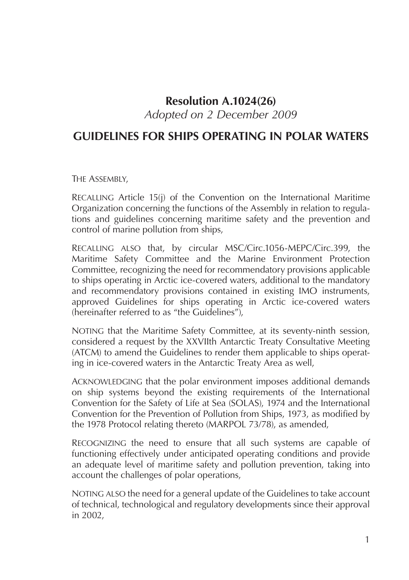## **Resolution A.1024(26)**

#### *Adopted on 2 December 2009*

## <span id="page-7-0"></span>**GUIDELINES FOR SHIPS OPERATING IN POLAR WATERS**

The Assembly,

Recalling Article 15(j) of the Convention on the International Maritime Organization concerning the functions of the Assembly in relation to regulations and guidelines concerning maritime safety and the prevention and control of marine pollution from ships,

Recalling also that, by circular MSC/Circ.1056-MEPC/Circ.399, the Maritime Safety Committee and the Marine Environment Protection Committee, recognizing the need for recommendatory provisions applicable to ships operating in Arctic ice-covered waters, additional to the mandatory and recommendatory provisions contained in existing IMO instruments, approved Guidelines for ships operating in Arctic ice-covered waters (hereinafter referred to as "the Guidelines"),

NOTING that the Maritime Safety Committee, at its seventy-ninth session, considered a request by the XXVIIth Antarctic Treaty Consultative Meeting (ATCM) to amend the Guidelines to render them applicable to ships operating in ice-covered waters in the Antarctic Treaty Area as well,

ACKNOWLEDGING that the polar environment imposes additional demands on ship systems beyond the existing requirements of the International Convention for the Safety of Life at Sea (SOLAS), 1974 and the International Convention for the Prevention of Pollution from Ships, 1973, as modified by the 1978 Protocol relating thereto (MARPOL 73/78), as amended,

Recognizing the need to ensure that all such systems are capable of functioning effectively under anticipated operating conditions and provide an adequate level of maritime safety and pollution prevention, taking into account the challenges of polar operations,

NOTING ALSO the need for a general update of the Guidelines to take account of technical, technological and regulatory developments since their approval in 2002,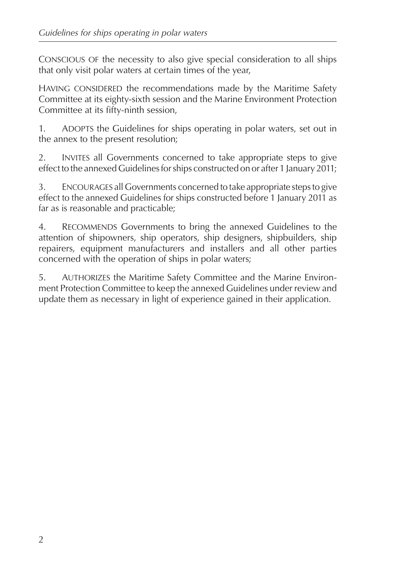Conscious of the necessity to also give special consideration to all ships that only visit polar waters at certain times of the year,

HAVING CONSIDERED the recommendations made by the Maritime Safety Committee at its eighty-sixth session and the Marine Environment Protection Committee at its fifty-ninth session,

1. ADOPTS the Guidelines for ships operating in polar waters, set out in the annex to the present resolution;

2. Invites all Governments concerned to take appropriate steps to give effect to the annexed Guidelines for ships constructed on or after 1 January 2011;

3. ENCOURAGES all Governments concerned to take appropriate steps to give effect to the annexed Guidelines for ships constructed before 1 January 2011 as far as is reasonable and practicable;

4. RECOMMENDS Governments to bring the annexed Guidelines to the attention of shipowners, ship operators, ship designers, shipbuilders, ship repairers, equipment manufacturers and installers and all other parties concerned with the operation of ships in polar waters;

5. AUTHORIZES the Maritime Safety Committee and the Marine Environment Protection Committee to keep the annexed Guidelines under review and update them as necessary in light of experience gained in their application.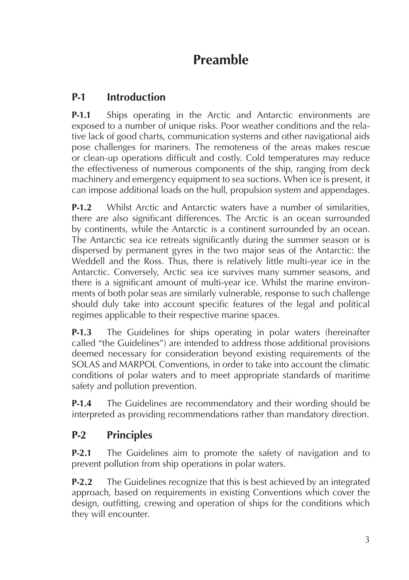## **Preamble**

## <span id="page-9-0"></span>**P-1 Introduction**

**P-1.1** Ships operating in the Arctic and Antarctic environments are exposed to a number of unique risks. Poor weather conditions and the relative lack of good charts, communication systems and other navigational aids pose challenges for mariners. The remoteness of the areas makes rescue or clean-up operations difficult and costly. Cold temperatures may reduce the effectiveness of numerous components of the ship, ranging from deck machinery and emergency equipment to sea suctions. When ice is present, it can impose additional loads on the hull, propulsion system and appendages.

**P-1.2** Whilst Arctic and Antarctic waters have a number of similarities, there are also significant differences. The Arctic is an ocean surrounded by continents, while the Antarctic is a continent surrounded by an ocean. The Antarctic sea ice retreats significantly during the summer season or is dispersed by permanent gyres in the two major seas of the Antarctic: the Weddell and the Ross. Thus, there is relatively little multi-year ice in the Antarctic. Conversely, Arctic sea ice survives many summer seasons, and there is a significant amount of multi-year ice. Whilst the marine environments of both polar seas are similarly vulnerable, response to such challenge should duly take into account specific features of the legal and political regimes applicable to their respective marine spaces.

**P-1.3** The Guidelines for ships operating in polar waters (hereinafter called "the Guidelines") are intended to address those additional provisions deemed necessary for consideration beyond existing requirements of the SOLAS and MARPOL Conventions, in order to take into account the climatic conditions of polar waters and to meet appropriate standards of maritime safety and pollution prevention.

**P-1.4** The Guidelines are recommendatory and their wording should be interpreted as providing recommendations rather than mandatory direction.

## **P-2 Principles**

**P-2.1** The Guidelines aim to promote the safety of navigation and to prevent pollution from ship operations in polar waters.

**P-2.2** The Guidelines recognize that this is best achieved by an integrated approach, based on requirements in existing Conventions which cover the design, outfitting, crewing and operation of ships for the conditions which they will encounter.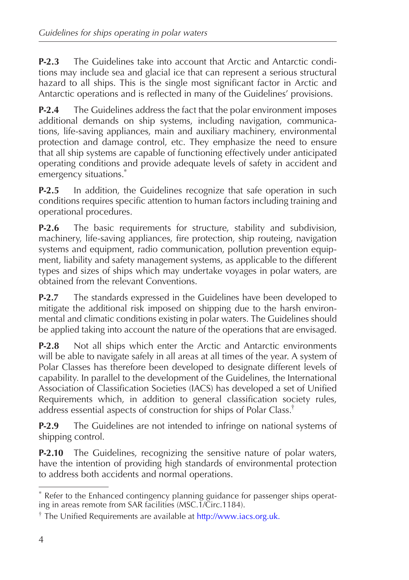**P-2.3** The Guidelines take into account that Arctic and Antarctic conditions may include sea and glacial ice that can represent a serious structural hazard to all ships. This is the single most significant factor in Arctic and Antarctic operations and is reflected in many of the Guidelines' provisions.

**P-2.4** The Guidelines address the fact that the polar environment imposes additional demands on ship systems, including navigation, communications, life-saving appliances, main and auxiliary machinery, environmental protection and damage control, etc. They emphasize the need to ensure that all ship systems are capable of functioning effectively under anticipated operating conditions and provide adequate levels of safety in accident and emergency situations.<sup>\*</sup>

**P-2.5** In addition, the Guidelines recognize that safe operation in such conditions requires specific attention to human factors including training and operational procedures.

**P-2.6** The basic requirements for structure, stability and subdivision, machinery, life-saving appliances, fire protection, ship routeing, navigation systems and equipment, radio communication, pollution prevention equipment, liability and safety management systems, as applicable to the different types and sizes of ships which may undertake voyages in polar waters, are obtained from the relevant Conventions.

**P-2.7** The standards expressed in the Guidelines have been developed to mitigate the additional risk imposed on shipping due to the harsh environmental and climatic conditions existing in polar waters. The Guidelines should be applied taking into account the nature of the operations that are envisaged.

**P-2.8** Not all ships which enter the Arctic and Antarctic environments will be able to navigate safely in all areas at all times of the year. A system of Polar Classes has therefore been developed to designate different levels of capability. In parallel to the development of the Guidelines, the International Association of Classification Societies (IACS) has developed a set of Unified Requirements which, in addition to general classification society rules, address essential aspects of construction for ships of Polar Class.†

**P-2.9** The Guidelines are not intended to infringe on national systems of shipping control.

**P-2.10** The Guidelines, recognizing the sensitive nature of polar waters, have the intention of providing high standards of environmental protection to address both accidents and normal operations.

<sup>\*</sup> Refer to the Enhanced contingency planning guidance for passenger ships operating in areas remote from SAR facilities (MSC.1/Circ.1184).

<sup>&</sup>lt;sup>†</sup> The Unified Requirements are available at http://www.jacs.org.uk.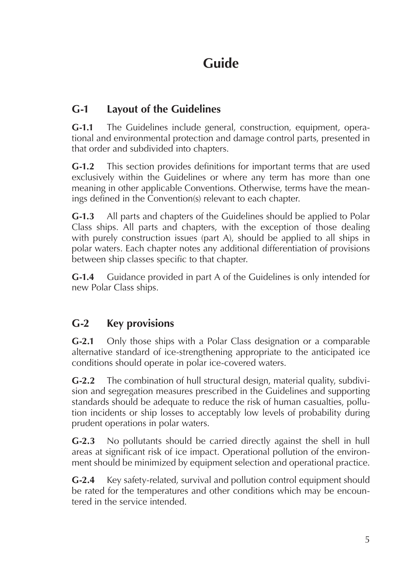## **Guide**

## <span id="page-11-0"></span>**G-1 Layout of the Guidelines**

**G-1.1** The Guidelines include general, construction, equipment, operational and environmental protection and damage control parts, presented in that order and subdivided into chapters.

**G-1.2** This section provides definitions for important terms that are used exclusively within the Guidelines or where any term has more than one meaning in other applicable Conventions. Otherwise, terms have the meanings defined in the Convention(s) relevant to each chapter.

**G-1.3** All parts and chapters of the Guidelines should be applied to Polar Class ships. All parts and chapters, with the exception of those dealing with purely construction issues (part A), should be applied to all ships in polar waters. Each chapter notes any additional differentiation of provisions between ship classes specific to that chapter.

**G-1.4** Guidance provided in part A of the Guidelines is only intended for new Polar Class ships.

#### **G-2 Key provisions**

**G-2.1** Only those ships with a Polar Class designation or a comparable alternative standard of ice-strengthening appropriate to the anticipated ice conditions should operate in polar ice-covered waters.

**G-2.2** The combination of hull structural design, material quality, subdivision and segregation measures prescribed in the Guidelines and supporting standards should be adequate to reduce the risk of human casualties, pollution incidents or ship losses to acceptably low levels of probability during prudent operations in polar waters.

**G-2.3** No pollutants should be carried directly against the shell in hull areas at significant risk of ice impact. Operational pollution of the environment should be minimized by equipment selection and operational practice.

**G-2.4** Key safety-related, survival and pollution control equipment should be rated for the temperatures and other conditions which may be encountered in the service intended.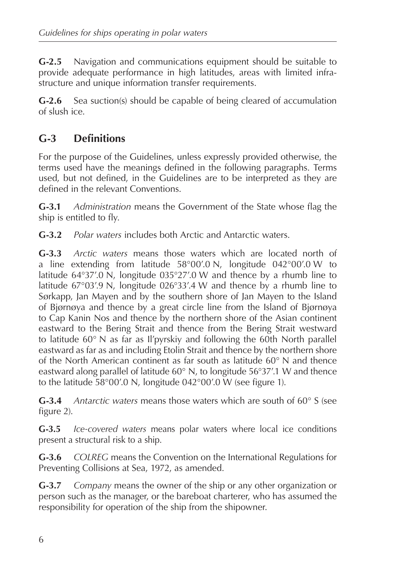**G-2.5** Navigation and communications equipment should be suitable to provide adequate performance in high latitudes, areas with limited infrastructure and unique information transfer requirements.

**G-2.6** Sea suction(s) should be capable of being cleared of accumulation of slush ice.

## **G-3 Definitions**

For the purpose of the Guidelines, unless expressly provided otherwise, the terms used have the meanings defined in the following paragraphs. Terms used, but not defined, in the Guidelines are to be interpreted as they are defined in the relevant Conventions.

**G-3.1** *Administration* means the Government of the State whose flag the ship is entitled to fly.

**G-3.2** *Polar waters* includes both Arctic and Antarctic waters.

**G-3.3** *Arctic waters* means those waters which are located north of a line extending from latitude 58°00'.0 N, longitude 042°00'.0 W to latitude 64°37'.0 N, longitude 035°27'.0 W and thence by a rhumb line to latitude 67°03'.9 N, longitude 026°33'.4 W and thence by a rhumb line to Sørkapp, Jan Mayen and by the southern shore of Jan Mayen to the Island of Bjørnøya and thence by a great circle line from the Island of Bjørnøya to Cap Kanin Nos and thence by the northern shore of the Asian continent eastward to the Bering Strait and thence from the Bering Strait westward to latitude 60° N as far as Il'pyrskiy and following the 60th North parallel eastward as far as and including Etolin Strait and thence by the northern shore of the North American continent as far south as latitude 60° N and thence eastward along parallel of latitude 60° N, to longitude 56°37'.1 W and thence to the latitude 58°00'.0 N, longitude 042°00'.0 W (see figure 1).

**G-3.4** *Antarctic waters* means those waters which are south of 60° S (see figure 2).

**G-3.5** *Ice-covered waters* means polar waters where local ice conditions present a structural risk to a ship.

**G-3.6** *COLREG* means the Convention on the International Regulations for Preventing Collisions at Sea, 1972, as amended.

**G-3.7** *Company* means the owner of the ship or any other organization or person such as the manager, or the bareboat charterer, who has assumed the responsibility for operation of the ship from the shipowner.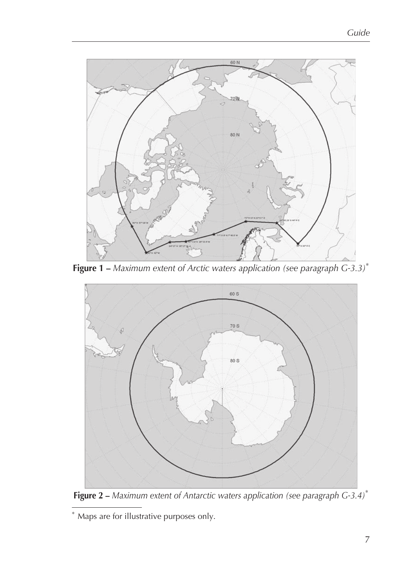

**Figure 1 –** *Maximum extent of Arctic waters application (see paragraph G-3.3)*\*



**Figure 2 –** *Maximum extent of Antarctic waters application (see paragraph G-3.4)*\*

Maps are for illustrative purposes only.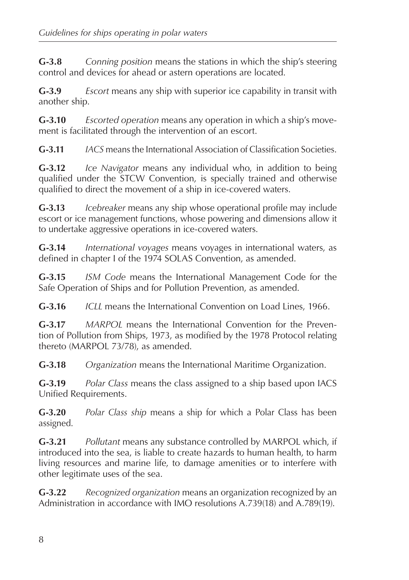**G-3.8** *Conning position* means the stations in which the ship's steering control and devices for ahead or astern operations are located.

**G-3.9** *Escort* means any ship with superior ice capability in transit with another ship.

**G-3.10** *Escorted operation* means any operation in which a ship's movement is facilitated through the intervention of an escort.

**G-3.11** *IACS* means the International Association of Classification Societies.

**G-3.12** *Ice Navigator* means any individual who, in addition to being qualified under the STCW Convention, is specially trained and otherwise qualified to direct the movement of a ship in ice-covered waters.

**G-3.13** *Icebreaker* means any ship whose operational profile may include escort or ice management functions, whose powering and dimensions allow it to undertake aggressive operations in ice-covered waters.

**G-3.14** *International voyages* means voyages in international waters, as defined in chapter I of the 1974 SOLAS Convention, as amended.

**G-3.15** *ISM Code* means the International Management Code for the Safe Operation of Ships and for Pollution Prevention, as amended.

**G-3.16** *ICLL* means the International Convention on Load Lines, 1966.

**G-3.17** *MARPOL* means the International Convention for the Prevention of Pollution from Ships, 1973, as modified by the 1978 Protocol relating thereto (MARPOL 73/78), as amended.

**G-3.18** *Organization* means the International Maritime Organization.

**G-3.19** *Polar Class* means the class assigned to a ship based upon IACS Unified Requirements.

**G-3.20** *Polar Class ship* means a ship for which a Polar Class has been assigned.

**G-3.21** *Pollutant* means any substance controlled by MARPOL which, if introduced into the sea, is liable to create hazards to human health, to harm living resources and marine life, to damage amenities or to interfere with other legitimate uses of the sea.

**G-3.22** *Recognized organization* means an organization recognized by an Administration in accordance with IMO resolutions A.739(18) and A.789(19).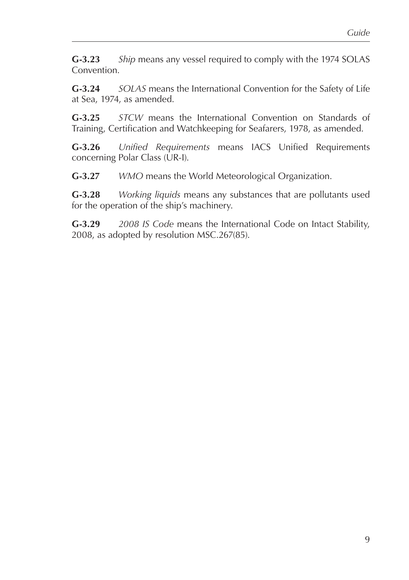**G-3.23** *Ship* means any vessel required to comply with the 1974 SOLAS Convention.

**G-3.24** *SOLAS* means the International Convention for the Safety of Life at Sea, 1974, as amended.

**G-3.25** *STCW* means the International Convention on Standards of Training, Certification and Watchkeeping for Seafarers, 1978, as amended.

**G-3.26** *Unified Requirements* means IACS Unified Requirements concerning Polar Class (UR-I).

**G-3.27** *WMO* means the World Meteorological Organization.

**G-3.28** *Working liquids* means any substances that are pollutants used for the operation of the ship's machinery.

**G-3.29** *2008 IS Code* means the International Code on Intact Stability, 2008, as adopted by resolution MSC.267(85).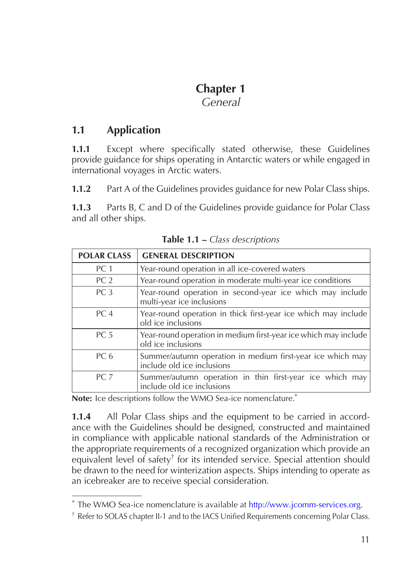## **Chapter 1**

#### *General*

## <span id="page-17-0"></span>**1.1 Application**

**1.1.1** Except where specifically stated otherwise, these Guidelines provide guidance for ships operating in Antarctic waters or while engaged in international voyages in Arctic waters.

**1.1.2** Part A of the Guidelines provides guidance for new Polar Class ships.

**1.1.3** Parts B, C and D of the Guidelines provide guidance for Polar Class and all other ships.

| <b>POLAR CLASS</b> | <b>GENERAL DESCRIPTION</b>                                                               |
|--------------------|------------------------------------------------------------------------------------------|
| PC <sub>1</sub>    | Year-round operation in all ice-covered waters                                           |
| PC.2               | Year-round operation in moderate multi-year ice conditions                               |
| PC <sub>3</sub>    | Year-round operation in second-year ice which may include<br>multi-year ice inclusions   |
| PC.4               | Year-round operation in thick first-year ice which may include<br>old ice inclusions     |
| <b>PC.5</b>        | Year-round operation in medium first-year ice which may include<br>old ice inclusions    |
| PC <sub>6</sub>    | Summer/autumn operation in medium first-year ice which may<br>include old ice inclusions |
| PC <sub>7</sub>    | Summer/autumn operation in thin first-year ice which may<br>include old ice inclusions   |

**Table 1.1 –** *Class descriptions*

**Note:** Ice descriptions follow the WMO Sea-ice nomenclature.<sup>\*</sup>

**1.1.4** All Polar Class ships and the equipment to be carried in accordance with the Guidelines should be designed, constructed and maintained in compliance with applicable national standards of the Administration or the appropriate requirements of a recognized organization which provide an equivalent level of safety<sup>†</sup> for its intended service. Special attention should be drawn to the need for winterization aspects. Ships intending to operate as an icebreaker are to receive special consideration.

<sup>\*</sup> The WMO Sea-ice nomenclature is available at [http://www.jcomm-services.org.](http://www.jcomm-services.org)

<sup>&</sup>lt;sup>†</sup> Refer to SOLAS chapter II-1 and to the IACS Unified Requirements concerning Polar Class.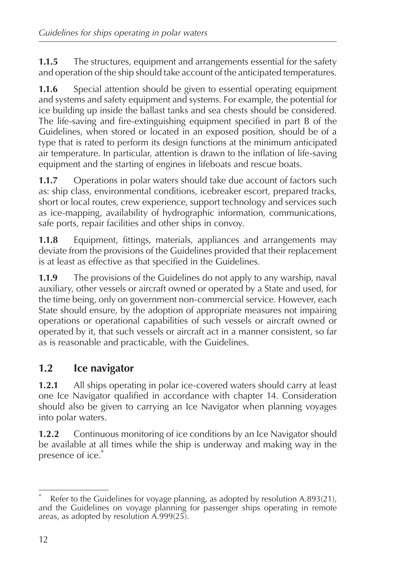**1.1.5** The structures, equipment and arrangements essential for the safety and operation of the ship should take account of the anticipated temperatures.

**1.1.6** Special attention should be given to essential operating equipment and systems and safety equipment and systems. For example, the potential for ice building up inside the ballast tanks and sea chests should be considered. The life-saving and fire-extinguishing equipment specified in part B of the Guidelines, when stored or located in an exposed position, should be of a type that is rated to perform its design functions at the minimum anticipated air temperature. In particular, attention is drawn to the inflation of life-saving equipment and the starting of engines in lifeboats and rescue boats.

**1.1.7** Operations in polar waters should take due account of factors such as: ship class, environmental conditions, icebreaker escort, prepared tracks, short or local routes, crew experience, support technology and services such as ice-mapping, availability of hydrographic information, communications, safe ports, repair facilities and other ships in convoy.

**1.1.8** Equipment, fittings, materials, appliances and arrangements may deviate from the provisions of the Guidelines provided that their replacement is at least as effective as that specified in the Guidelines.

**1.1.9** The provisions of the Guidelines do not apply to any warship, naval auxiliary, other vessels or aircraft owned or operated by a State and used, for the time being, only on government non-commercial service. However, each State should ensure, by the adoption of appropriate measures not impairing operations or operational capabilities of such vessels or aircraft owned or operated by it, that such vessels or aircraft act in a manner consistent, so far as is reasonable and practicable, with the Guidelines.

## **1.2 Ice navigator**

**1.2.1** All ships operating in polar ice-covered waters should carry at least one Ice Navigator qualified in accordance with chapter 14. Consideration should also be given to carrying an Ice Navigator when planning voyages into polar waters.

**1.2.2** Continuous monitoring of ice conditions by an Ice Navigator should be available at all times while the ship is underway and making way in the presence of ice.<sup>\*</sup>

<sup>\*</sup> Refer to the Guidelines for voyage planning, as adopted by resolution A.893(21), and the Guidelines on voyage planning for passenger ships operating in remote areas, as adopted by resolution A.999(25).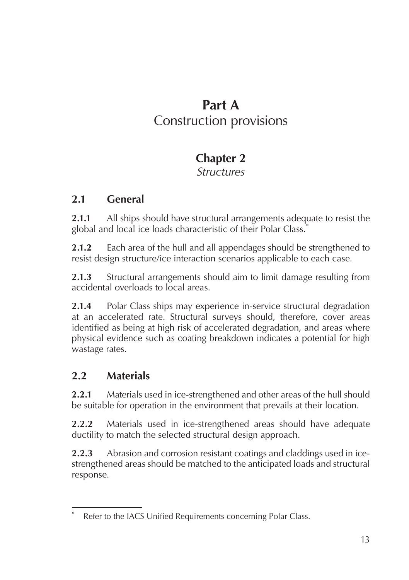## <span id="page-19-0"></span>**Part A** Construction provisions

## **Chapter 2**

#### *Structures*

### **2.1 General**

**2.1.1** All ships should have structural arrangements adequate to resist the global and local ice loads characteristic of their Polar Class.<sup>\*</sup>

**2.1.2** Each area of the hull and all appendages should be strengthened to resist design structure/ice interaction scenarios applicable to each case.

**2.1.3** Structural arrangements should aim to limit damage resulting from accidental overloads to local areas.

**2.1.4** Polar Class ships may experience in-service structural degradation at an accelerated rate. Structural surveys should, therefore, cover areas identified as being at high risk of accelerated degradation, and areas where physical evidence such as coating breakdown indicates a potential for high wastage rates.

## **2.2 Materials**

**2.2.1** Materials used in ice-strengthened and other areas of the hull should be suitable for operation in the environment that prevails at their location.

**2.2.2** Materials used in ice-strengthened areas should have adequate ductility to match the selected structural design approach.

**2.2.3** Abrasion and corrosion resistant coatings and claddings used in icestrengthened areas should be matched to the anticipated loads and structural response.

Refer to the IACS Unified Requirements concerning Polar Class.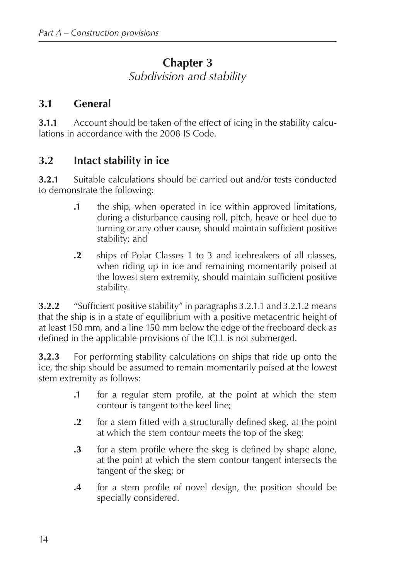## **Chapter 3** *Subdivision and stability*

#### <span id="page-20-0"></span>**3.1 General**

**3.1.1** Account should be taken of the effect of icing in the stability calculations in accordance with the 2008 IS Code.

#### **3.2 Intact stability in ice**

**3.2.1** Suitable calculations should be carried out and/or tests conducted to demonstrate the following:

- **.1** the ship, when operated in ice within approved limitations, during a disturbance causing roll, pitch, heave or heel due to turning or any other cause, should maintain sufficient positive stability; and
- **.2** ships of Polar Classes 1 to 3 and icebreakers of all classes, when riding up in ice and remaining momentarily poised at the lowest stem extremity, should maintain sufficient positive stability.

**3.2.2** "Sufficient positive stability" in paragraphs 3.2.1.1 and 3.2.1.2 means that the ship is in a state of equilibrium with a positive metacentric height of at least 150 mm, and a line 150 mm below the edge of the freeboard deck as defined in the applicable provisions of the ICLL is not submerged.

**3.2.3** For performing stability calculations on ships that ride up onto the ice, the ship should be assumed to remain momentarily poised at the lowest stem extremity as follows:

- **.1** for a regular stem profile, at the point at which the stem contour is tangent to the keel line;
- **.2** for a stem fitted with a structurally defined skeg, at the point at which the stem contour meets the top of the skeg;
- **.3** for a stem profile where the skeg is defined by shape alone, at the point at which the stem contour tangent intersects the tangent of the skeg; or
- **.4** for a stem profile of novel design, the position should be specially considered.